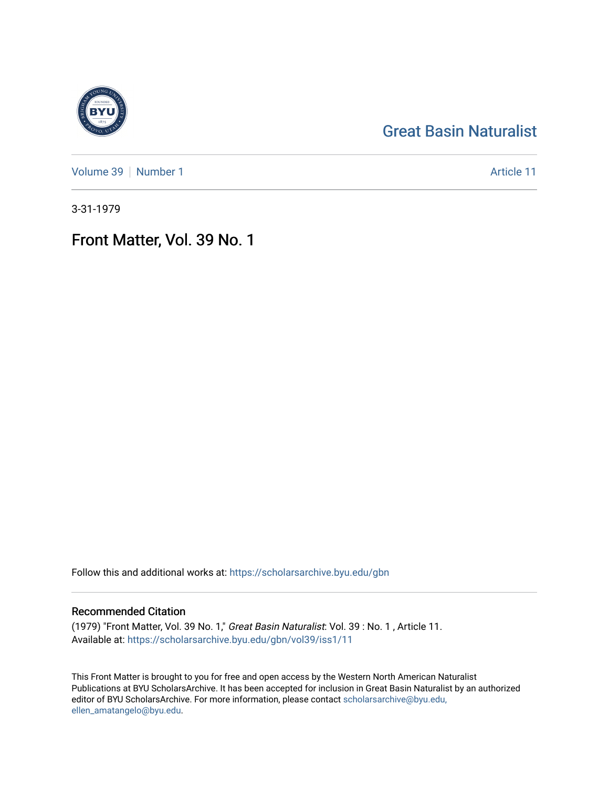## [Great Basin Naturalist](https://scholarsarchive.byu.edu/gbn)

[Volume 39](https://scholarsarchive.byu.edu/gbn/vol39) [Number 1](https://scholarsarchive.byu.edu/gbn/vol39/iss1) Article 11

3-31-1979

## Front Matter, Vol. 39 No. 1

Follow this and additional works at: [https://scholarsarchive.byu.edu/gbn](https://scholarsarchive.byu.edu/gbn?utm_source=scholarsarchive.byu.edu%2Fgbn%2Fvol39%2Fiss1%2F11&utm_medium=PDF&utm_campaign=PDFCoverPages) 

## Recommended Citation

(1979) "Front Matter, Vol. 39 No. 1," Great Basin Naturalist: Vol. 39 : No. 1 , Article 11. Available at: [https://scholarsarchive.byu.edu/gbn/vol39/iss1/11](https://scholarsarchive.byu.edu/gbn/vol39/iss1/11?utm_source=scholarsarchive.byu.edu%2Fgbn%2Fvol39%2Fiss1%2F11&utm_medium=PDF&utm_campaign=PDFCoverPages) 

This Front Matter is brought to you for free and open access by the Western North American Naturalist Publications at BYU ScholarsArchive. It has been accepted for inclusion in Great Basin Naturalist by an authorized editor of BYU ScholarsArchive. For more information, please contact [scholarsarchive@byu.edu,](mailto:scholarsarchive@byu.edu,%20ellen_amatangelo@byu.edu) [ellen\\_amatangelo@byu.edu](mailto:scholarsarchive@byu.edu,%20ellen_amatangelo@byu.edu).

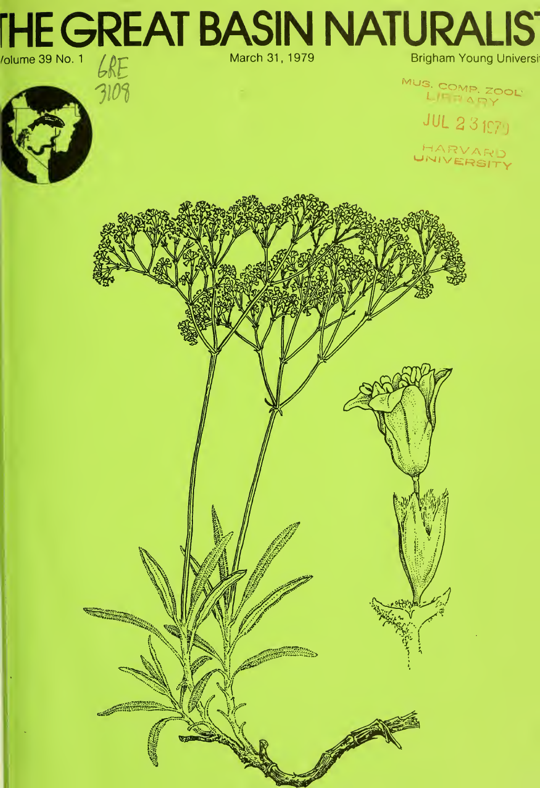